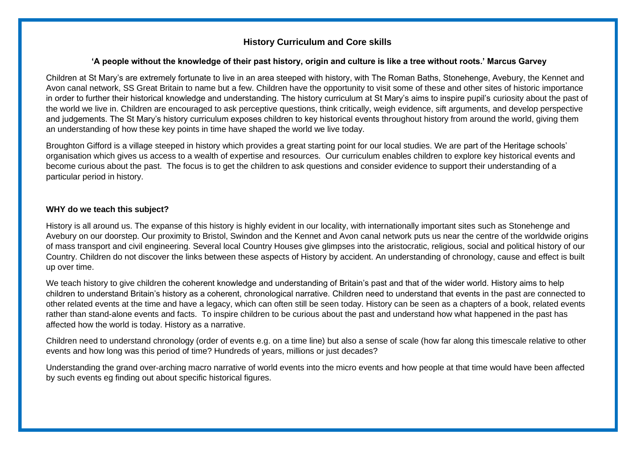#### **'A people without the knowledge of their past history, origin and culture is like a tree without roots.' Marcus Garvey**

Children at St Mary's are extremely fortunate to live in an area steeped with history, with The Roman Baths, Stonehenge, Avebury, the Kennet and Avon canal network, SS Great Britain to name but a few. Children have the opportunity to visit some of these and other sites of historic importance in order to further their historical knowledge and understanding. The history curriculum at St Mary's aims to inspire pupil's curiosity about the past of the world we live in. Children are encouraged to ask perceptive questions, think critically, weigh evidence, sift arguments, and develop perspective and judgements. The St Mary's history curriculum exposes children to key historical events throughout history from around the world, giving them an understanding of how these key points in time have shaped the world we live today.

Broughton Gifford is a village steeped in history which provides a great starting point for our local studies. We are part of the Heritage schools' organisation which gives us access to a wealth of expertise and resources. Our curriculum enables children to explore key historical events and become curious about the past. The focus is to get the children to ask questions and consider evidence to support their understanding of a particular period in history.

#### **WHY do we teach this subject?**

History is all around us. The expanse of this history is highly evident in our locality, with internationally important sites such as Stonehenge and Avebury on our doorstep. Our proximity to Bristol, Swindon and the Kennet and Avon canal network puts us near the centre of the worldwide origins of mass transport and civil engineering. Several local Country Houses give glimpses into the aristocratic, religious, social and political history of our Country. Children do not discover the links between these aspects of History by accident. An understanding of chronology, cause and effect is built up over time.

We teach history to give children the coherent knowledge and understanding of Britain's past and that of the wider world. History aims to help children to understand Britain's history as a coherent, chronological narrative. Children need to understand that events in the past are connected to other related events at the time and have a legacy, which can often still be seen today. History can be seen as a chapters of a book, related events rather than stand-alone events and facts. To inspire children to be curious about the past and understand how what happened in the past has affected how the world is today. History as a narrative.

Children need to understand chronology (order of events e.g. on a time line) but also a sense of scale (how far along this timescale relative to other events and how long was this period of time? Hundreds of years, millions or just decades?

Understanding the grand over-arching macro narrative of world events into the micro events and how people at that time would have been affected by such events eg finding out about specific historical figures.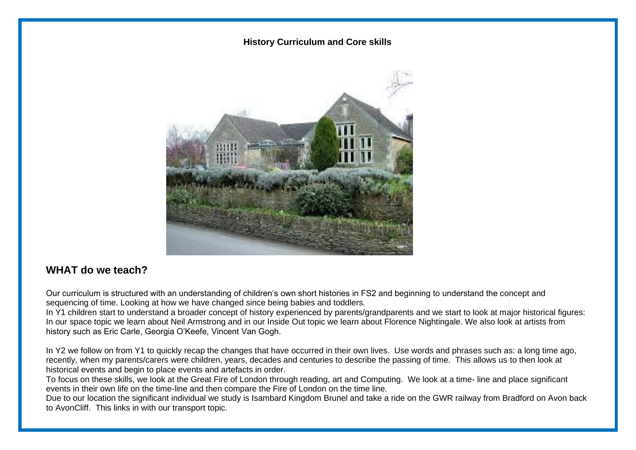

## **WHAT do we teach?**

Our curriculum is structured with an understanding of children's own short histories in FS2 and beginning to understand the concept and sequencing of time. Looking at how we have changed since being babies and toddlers.

In Y1 children start to understand a broader concept of history experienced by parents/grandparents and we start to look at major historical figures: In our space topic we learn about Neil Armstrong and in our Inside Out topic we learn about Florence Nightingale. We also look at artists from history such as Eric Carle, Georgia O'Keefe, Vincent Van Gogh.

In Y2 we follow on from Y1 to quickly recap the changes that have occurred in their own lives. Use words and phrases such as: a long time ago, recently, when my parents/carers were children, years, decades and centuries to describe the passing of time. This allows us to then look at historical events and begin to place events and artefacts in order.

To focus on these skills, we look at the Great Fire of London through reading, art and Computing. We look at a time- line and place significant events in their own life on the time-line and then compare the Fire of London on the time line.

Due to our location the significant individual we study is Isambard Kingdom Brunel and take a ride on the GWR railway from Bradford on Avon back to AvonCliff. This links in with our transport topic.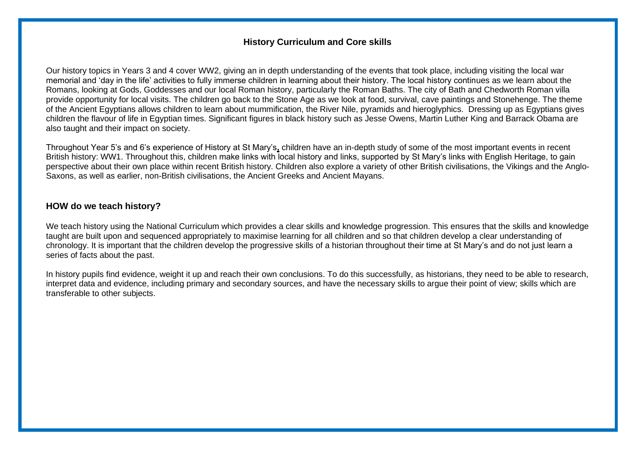Our history topics in Years 3 and 4 cover WW2, giving an in depth understanding of the events that took place, including visiting the local war memorial and 'day in the life' activities to fully immerse children in learning about their history. The local history continues as we learn about the Romans, looking at Gods, Goddesses and our local Roman history, particularly the Roman Baths. The city of Bath and Chedworth Roman villa provide opportunity for local visits. The children go back to the Stone Age as we look at food, survival, cave paintings and Stonehenge. The theme of the Ancient Egyptians allows children to learn about mummification, the River Nile, pyramids and hieroglyphics. Dressing up as Egyptians gives children the flavour of life in Egyptian times. Significant figures in black history such as Jesse Owens, Martin Luther King and Barrack Obama are also taught and their impact on society.

Throughout Year 5's and 6's experience of History at St Mary's**,** children have an in-depth study of some of the most important events in recent British history: WW1. Throughout this, children make links with local history and links, supported by St Mary's links with English Heritage, to gain perspective about their own place within recent British history. Children also explore a variety of other British civilisations, the Vikings and the Anglo-Saxons, as well as earlier, non-British civilisations, the Ancient Greeks and Ancient Mayans.

#### **HOW do we teach history?**

We teach history using the National Curriculum which provides a clear skills and knowledge progression. This ensures that the skills and knowledge taught are built upon and sequenced appropriately to maximise learning for all children and so that children develop a clear understanding of chronology. It is important that the children develop the progressive skills of a historian throughout their time at St Mary's and do not just learn a series of facts about the past.

In history pupils find evidence, weight it up and reach their own conclusions. To do this successfully, as historians, they need to be able to research, interpret data and evidence, including primary and secondary sources, and have the necessary skills to argue their point of view; skills which are transferable to other subjects.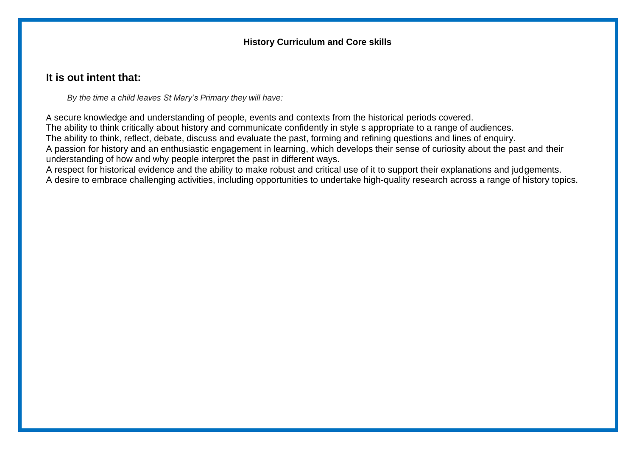# **It is out intent that:**

*By the time a child leaves St Mary's Primary they will have:*

A secure knowledge and understanding of people, events and contexts from the historical periods covered. The ability to think critically about history and communicate confidently in style s appropriate to a range of audiences. The ability to think, reflect, debate, discuss and evaluate the past, forming and refining questions and lines of enquiry. A passion for history and an enthusiastic engagement in learning, which develops their sense of curiosity about the past and their understanding of how and why people interpret the past in different ways.

A respect for historical evidence and the ability to make robust and critical use of it to support their explanations and judgements. A desire to embrace challenging activities, including opportunities to undertake high-quality research across a range of history topics.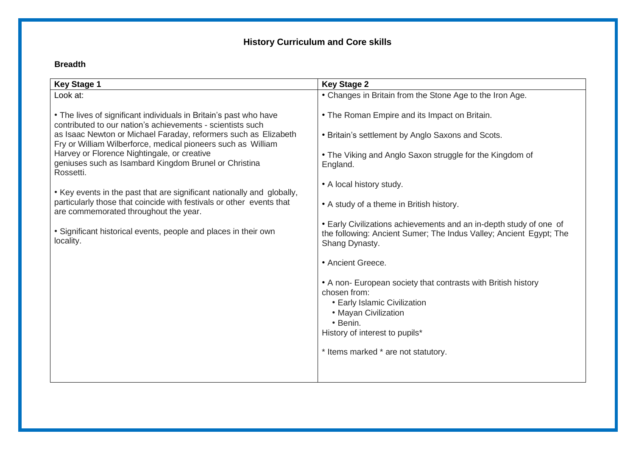## **Breadth**

| <b>Key Stage 1</b>                                                                                                              | <b>Key Stage 2</b>                                                                                                                                                                  |
|---------------------------------------------------------------------------------------------------------------------------------|-------------------------------------------------------------------------------------------------------------------------------------------------------------------------------------|
| Look at:                                                                                                                        | • Changes in Britain from the Stone Age to the Iron Age.                                                                                                                            |
| • The lives of significant individuals in Britain's past who have<br>contributed to our nation's achievements - scientists such | • The Roman Empire and its Impact on Britain.                                                                                                                                       |
| as Isaac Newton or Michael Faraday, reformers such as Elizabeth<br>Fry or William Wilberforce, medical pioneers such as William | • Britain's settlement by Anglo Saxons and Scots.                                                                                                                                   |
| Harvey or Florence Nightingale, or creative<br>geniuses such as Isambard Kingdom Brunel or Christina<br>Rossetti.               | • The Viking and Anglo Saxon struggle for the Kingdom of<br>England.                                                                                                                |
| • Key events in the past that are significant nationally and globally,                                                          | • A local history study.                                                                                                                                                            |
| particularly those that coincide with festivals or other events that<br>are commemorated throughout the year.                   | • A study of a theme in British history.                                                                                                                                            |
| • Significant historical events, people and places in their own<br>locality.                                                    | • Early Civilizations achievements and an in-depth study of one of<br>the following: Ancient Sumer; The Indus Valley; Ancient Egypt; The<br>Shang Dynasty.                          |
|                                                                                                                                 | • Ancient Greece.                                                                                                                                                                   |
|                                                                                                                                 | • A non- European society that contrasts with British history<br>chosen from:<br>• Early Islamic Civilization<br>• Mayan Civilization<br>• Benin.<br>History of interest to pupils* |
|                                                                                                                                 | * Items marked * are not statutory.                                                                                                                                                 |
|                                                                                                                                 |                                                                                                                                                                                     |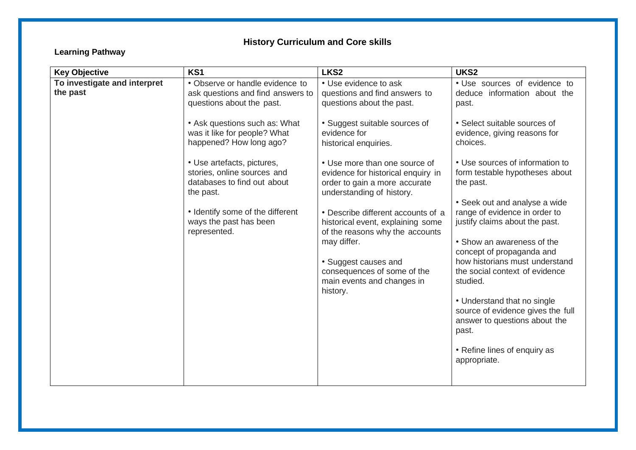# **Learning Pathway**

| <b>Key Objective</b>                     | KS1                                                                                                   | LKS <sub>2</sub>                                                                                                                  | UKS2                                                                                                                           |
|------------------------------------------|-------------------------------------------------------------------------------------------------------|-----------------------------------------------------------------------------------------------------------------------------------|--------------------------------------------------------------------------------------------------------------------------------|
| To investigate and interpret<br>the past | • Observe or handle evidence to<br>ask questions and find answers to<br>questions about the past.     | • Use evidence to ask<br>questions and find answers to<br>questions about the past.                                               | • Use sources of evidence to<br>deduce information about the<br>past.                                                          |
|                                          | • Ask questions such as: What<br>was it like for people? What<br>happened? How long ago?              | • Suggest suitable sources of<br>evidence for<br>historical enquiries.                                                            | • Select suitable sources of<br>evidence, giving reasons for<br>choices.                                                       |
|                                          | • Use artefacts, pictures,<br>stories, online sources and<br>databases to find out about<br>the past. | • Use more than one source of<br>evidence for historical enquiry in<br>order to gain a more accurate<br>understanding of history. | • Use sources of information to<br>form testable hypotheses about<br>the past.                                                 |
|                                          | • Identify some of the different<br>ways the past has been<br>represented.                            | • Describe different accounts of a<br>historical event, explaining some<br>of the reasons why the accounts<br>may differ.         | • Seek out and analyse a wide<br>range of evidence in order to<br>justify claims about the past.<br>• Show an awareness of the |
|                                          |                                                                                                       | • Suggest causes and<br>consequences of some of the<br>main events and changes in<br>history.                                     | concept of propaganda and<br>how historians must understand<br>the social context of evidence<br>studied.                      |
|                                          |                                                                                                       |                                                                                                                                   | • Understand that no single<br>source of evidence gives the full<br>answer to questions about the<br>past.                     |
|                                          |                                                                                                       |                                                                                                                                   | • Refine lines of enquiry as<br>appropriate.                                                                                   |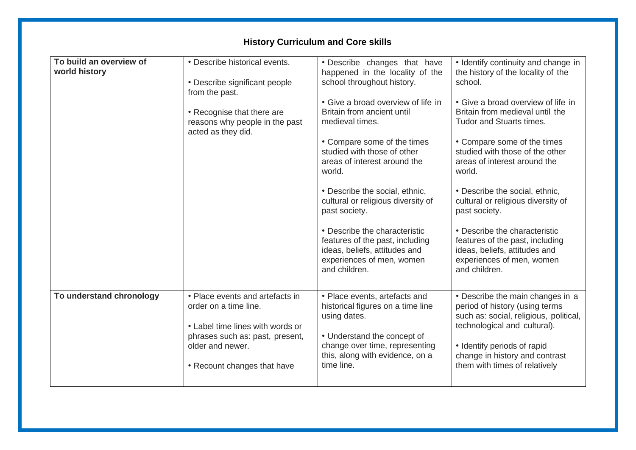| • Describe historical events.                                                                | • Describe changes that have                                                                                                                    | • Identify continuity and change in                                                                                                             |
|----------------------------------------------------------------------------------------------|-------------------------------------------------------------------------------------------------------------------------------------------------|-------------------------------------------------------------------------------------------------------------------------------------------------|
|                                                                                              |                                                                                                                                                 | the history of the locality of the                                                                                                              |
|                                                                                              |                                                                                                                                                 | school.                                                                                                                                         |
|                                                                                              | • Give a broad overview of life in                                                                                                              | • Give a broad overview of life in                                                                                                              |
| • Recognise that there are<br>reasons why people in the past                                 | Britain from ancient until<br>medieval times.                                                                                                   | Britain from medieval until the<br><b>Tudor and Stuarts times.</b>                                                                              |
|                                                                                              | • Compare some of the times<br>studied with those of other<br>areas of interest around the<br>world.                                            | • Compare some of the times<br>studied with those of the other<br>areas of interest around the<br>world.                                        |
|                                                                                              | • Describe the social, ethnic,<br>cultural or religious diversity of<br>past society.                                                           | • Describe the social, ethnic,<br>cultural or religious diversity of<br>past society.                                                           |
|                                                                                              | • Describe the characteristic<br>features of the past, including<br>ideas, beliefs, attitudes and<br>experiences of men, women<br>and children. | • Describe the characteristic<br>features of the past, including<br>ideas, beliefs, attitudes and<br>experiences of men, women<br>and children. |
| • Place events and artefacts in<br>order on a time line.<br>• Label time lines with words or | • Place events, artefacts and<br>historical figures on a time line<br>using dates.                                                              | • Describe the main changes in a<br>period of history (using terms<br>such as: social, religious, political,<br>technological and cultural).    |
| older and newer.<br>• Recount changes that have                                              | change over time, representing<br>this, along with evidence, on a<br>time line.                                                                 | • Identify periods of rapid<br>change in history and contrast<br>them with times of relatively                                                  |
|                                                                                              | • Describe significant people<br>from the past.<br>acted as they did.<br>phrases such as: past, present,                                        | happened in the locality of the<br>school throughout history.<br>• Understand the concept of                                                    |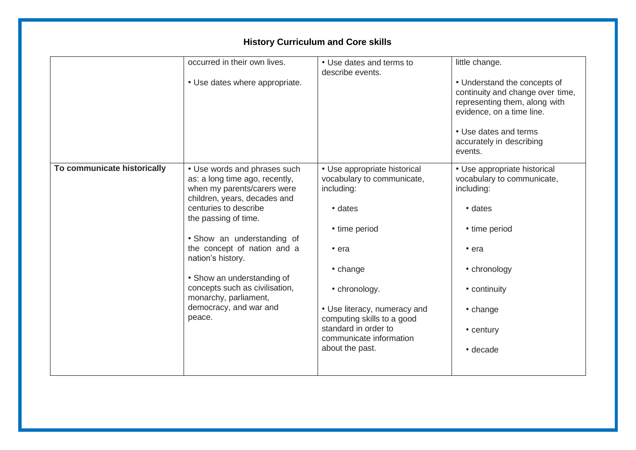|                             | occurred in their own lives.<br>• Use dates where appropriate.                                                                | • Use dates and terms to<br>describe events.                             | little change.<br>• Understand the concepts of                                                                          |
|-----------------------------|-------------------------------------------------------------------------------------------------------------------------------|--------------------------------------------------------------------------|-------------------------------------------------------------------------------------------------------------------------|
|                             |                                                                                                                               |                                                                          | continuity and change over time,<br>representing them, along with<br>evidence, on a time line.<br>• Use dates and terms |
|                             |                                                                                                                               |                                                                          | accurately in describing<br>events.                                                                                     |
| To communicate historically | • Use words and phrases such<br>as: a long time ago, recently,<br>when my parents/carers were<br>children, years, decades and | • Use appropriate historical<br>vocabulary to communicate,<br>including: | • Use appropriate historical<br>vocabulary to communicate,<br>including:                                                |
|                             | centuries to describe<br>the passing of time.                                                                                 | • dates                                                                  | • dates                                                                                                                 |
|                             | . Show an understanding of                                                                                                    | • time period                                                            | • time period                                                                                                           |
|                             | the concept of nation and a<br>nation's history.                                                                              | $\cdot$ era                                                              | $\cdot$ era                                                                                                             |
|                             | • Show an understanding of                                                                                                    | • change                                                                 | • chronology                                                                                                            |
|                             | concepts such as civilisation,<br>monarchy, parliament,                                                                       | • chronology.                                                            | • continuity                                                                                                            |
|                             | democracy, and war and<br>peace.                                                                                              | • Use literacy, numeracy and<br>computing skills to a good               | • change                                                                                                                |
|                             |                                                                                                                               | standard in order to<br>communicate information                          | • century                                                                                                               |
|                             |                                                                                                                               | about the past.                                                          | • decade                                                                                                                |
|                             |                                                                                                                               |                                                                          |                                                                                                                         |